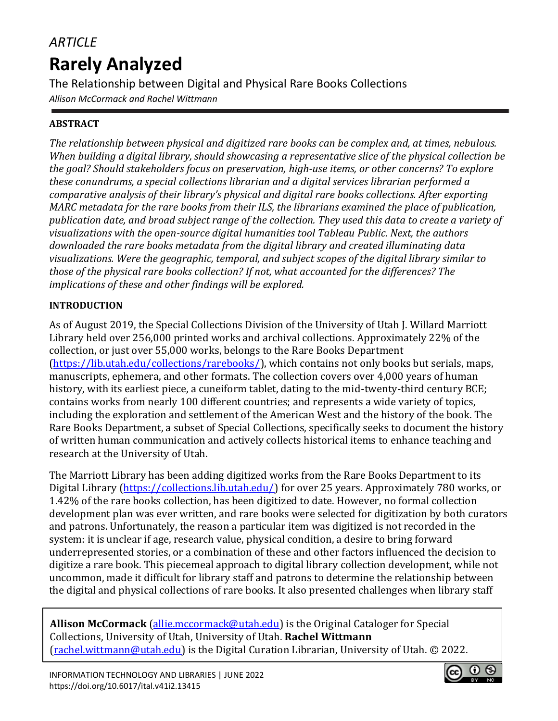# *ARTICLE* **Rarely Analyzed**

The Relationship between Digital and Physical Rare Books Collections *Allison McCormack and Rachel Wittmann*

# **ABSTRACT**

*The relationship between physical and digitized rare books can be complex and, at times, nebulous. When building a digital library, should showcasing a representative slice of the physical collection be the goal? Should stakeholders focus on preservation, high-use items, or other concerns? To explore these conundrums, a special collections librarian and a digital services librarian performed a comparative analysis of their library's physical and digital rare books collections. After exporting MARC metadata for the rare books from their ILS, the librarians examined the place of publication, publication date, and broad subject range of the collection. They used this data to create a variety of visualizations with the open-source digital humanities tool Tableau Public. Next, the authors downloaded the rare books metadata from the digital library and created illuminating data visualizations. Were the geographic, temporal, and subject scopes of the digital library similar to those of the physical rare books collection? If not, what accounted for the differences? The implications of these and other findings will be explored.*

## **INTRODUCTION**

As of August 2019, the Special Collections Division of the University of Utah J. Willard Marriott Library held over 256,000 printed works and archival collections. Approximately 22% of the collection, or just over 55,000 works, belongs to the Rare Books Department [\(https://lib.utah.edu/collections/rarebooks/\)](https://lib.utah.edu/collections/rarebooks/), which contains not only books but serials, maps, manuscripts, ephemera, and other formats. The collection covers over 4,000 years of human history, with its earliest piece, a cuneiform tablet, dating to the mid-twenty-third century BCE; contains works from nearly 100 different countries; and represents a wide variety of topics, including the exploration and settlement of the American West and the history of the book. The Rare Books Department, a subset of Special Collections, specifically seeks to document the history of written human communication and actively collects historical items to enhance teaching and research at the University of Utah.

The Marriott Library has been adding digitized works from the Rare Books Department to its Digital Library [\(https://collections.lib.utah.edu/\)](https://collections.lib.utah.edu/) for over 25 years. Approximately 780 works, or 1.42% of the rare books collection, has been digitized to date. However, no formal collection development plan was ever written, and rare books were selected for digitization by both curators and patrons. Unfortunately, the reason a particular item was digitized is not recorded in the system: it is unclear if age, research value, physical condition, a desire to bring forward underrepresented stories, or a combination of these and other factors influenced the decision to digitize a rare book. This piecemeal approach to digital library collection development, while not uncommon, made it difficult for library staff and patrons to determine the relationship between the digital and physical collections of rare books. It also presented challenges when library staff

**Allison McCormack** [\(allie.mccormack@utah.edu\)](mailto:allie.mccormack@utah.edu) is the Original Cataloger for Special Collections, University of Utah, University of Utah. **Rachel Wittmann**  [\(rachel.wittmann@utah.edu\)](mailto:rachel.wittmann@utah.edu) is the Digital Curation Librarian, University of Utah. © 2022.

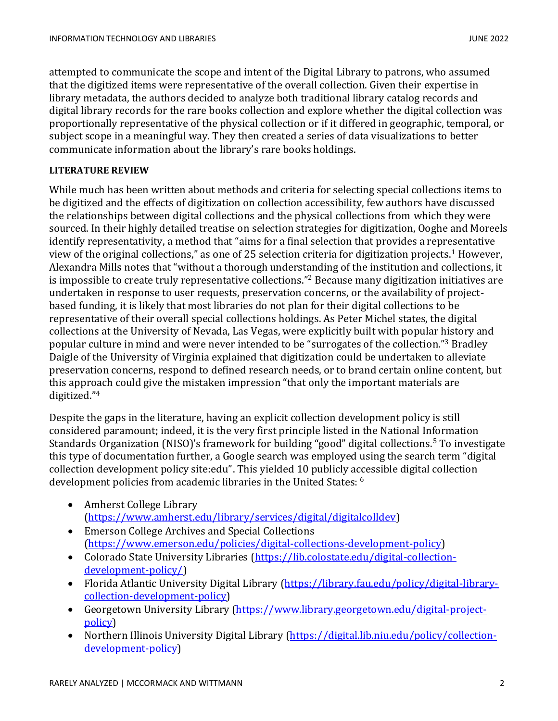attempted to communicate the scope and intent of the Digital Library to patrons, who assumed that the digitized items were representative of the overall collection. Given their expertise in library metadata, the authors decided to analyze both traditional library catalog records and digital library records for the rare books collection and explore whether the digital collection was proportionally representative of the physical collection or if it differed in geographic, temporal, or subject scope in a meaningful way. They then created a series of data visualizations to better communicate information about the library's rare books holdings.

## **LITERATURE REVIEW**

While much has been written about methods and criteria for selecting special collections items to be digitized and the effects of digitization on collection accessibility, few authors have discussed the relationships between digital collections and the physical collections from which they were sourced. In their highly detailed treatise on selection strategies for digitization, Ooghe and Moreels identify representativity, a method that "aims for a final selection that provides a representative view of the original collections," as one of 25 selection criteria for digitization projects.<sup>1</sup> However, Alexandra Mills notes that "without a thorough understanding of the institution and collections, it is impossible to create truly representative collections."<sup>2</sup> Because many digitization initiatives are undertaken in response to user requests, preservation concerns, or the availability of projectbased funding, it is likely that most libraries do not plan for their digital collections to be representative of their overall special collections holdings. As Peter Michel states, the digital collections at the University of Nevada, Las Vegas, were explicitly built with popular history and popular culture in mind and were never intended to be "surrogates of the collection."<sup>3</sup> Bradley Daigle of the University of Virginia explained that digitization could be undertaken to alleviate preservation concerns, respond to defined research needs, or to brand certain online content, but this approach could give the mistaken impression "that only the important materials are digitized."<sup>4</sup>

Despite the gaps in the literature, having an explicit collection development policy is still considered paramount; indeed, it is the very first principle listed in the National Information Standards Organization (NISO)'s framework for building "good" digital collections.<sup>5</sup> To investigate this type of documentation further, a Google search was employed using the search term "digital collection development policy site:edu". This yielded 10 publicly accessible digital collection development policies from academic libraries in the United States: <sup>6</sup>

- Amherst College Library [\(https://www.amherst.edu/library/services/digital/digitalcolldev\)](https://www.amherst.edu/library/services/digital/digitalcolldev)
- Emerson College Archives and Special Collections [\(https://www.emerson.edu/policies/digital-collections-development-policy\)](https://www.emerson.edu/policies/digital-collections-development-policy)
- Colorado State University Libraries [\(https://lib.colostate.edu/digital-collection](https://lib.colostate.edu/digital-collection-development-policy/)[development-policy/\)](https://lib.colostate.edu/digital-collection-development-policy/)
- Florida Atlantic University Digital Library [\(https://library.fau.edu/policy/digital-library](https://library.fau.edu/policy/digital-library-collection-development-policy)[collection-development-policy\)](https://library.fau.edu/policy/digital-library-collection-development-policy)
- Georgetown University Library [\(https://www.library.georgetown.edu/digital-project](https://www.library.georgetown.edu/digital-project-policy)[policy\)](https://www.library.georgetown.edu/digital-project-policy)
- Northern Illinois University Digital Library [\(https://digital.lib.niu.edu/policy/collection](https://digital.lib.niu.edu/policy/collection-development-policy)[development-policy\)](https://digital.lib.niu.edu/policy/collection-development-policy)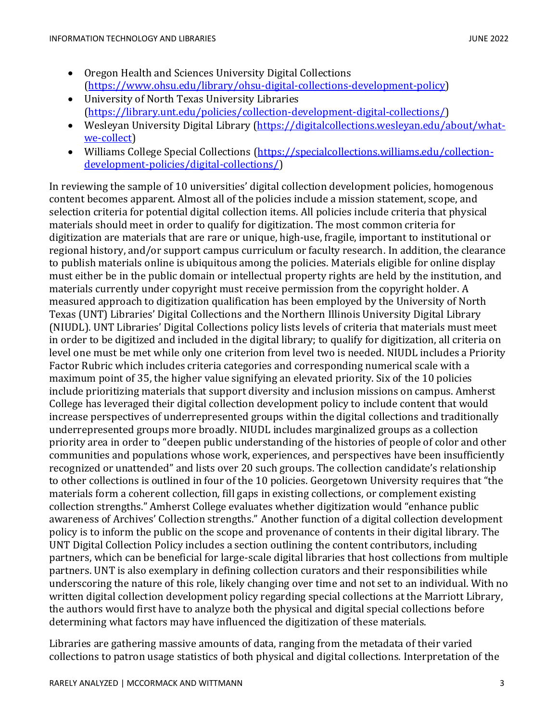- Oregon Health and Sciences University Digital Collections [\(https://www.ohsu.edu/library/ohsu-digital-collections-development-policy\)](https://www.ohsu.edu/library/ohsu-digital-collections-development-policy)
- University of North Texas University Libraries [\(https://library.unt.edu/policies/collection-development-digital-collections/\)](https://library.unt.edu/policies/collection-development-digital-collections/)
- Wesleyan University Digital Library [\(https://digitalcollections.wesleyan.edu/about/what](https://digitalcollections.wesleyan.edu/about/what-we-collect)[we-collect\)](https://digitalcollections.wesleyan.edu/about/what-we-collect)
- Williams College Special Collections [\(https://specialcollections.williams.edu/collection](https://specialcollections.williams.edu/collection-development-policies/digital-collections/)[development-policies/digital-collections/\)](https://specialcollections.williams.edu/collection-development-policies/digital-collections/)

In reviewing the sample of 10 universities' digital collection development policies, homogenous content becomes apparent. Almost all of the policies include a mission statement, scope, and selection criteria for potential digital collection items. All policies include criteria that physical materials should meet in order to qualify for digitization. The most common criteria for digitization are materials that are rare or unique, high-use, fragile, important to institutional or regional history, and/or support campus curriculum or faculty research. In addition, the clearance to publish materials online is ubiquitous among the policies. Materials eligible for online display must either be in the public domain or intellectual property rights are held by the institution, and materials currently under copyright must receive permission from the copyright holder. A measured approach to digitization qualification has been employed by the University of North Texas (UNT) Libraries' Digital Collections and the Northern Illinois University Digital Library (NIUDL). UNT Libraries' Digital Collections policy lists levels of criteria that materials must meet in order to be digitized and included in the digital library; to qualify for digitization, all criteria on level one must be met while only one criterion from level two is needed. NIUDL includes a Priority Factor Rubric which includes criteria categories and corresponding numerical scale with a maximum point of 35, the higher value signifying an elevated priority. Six of the 10 policies include prioritizing materials that support diversity and inclusion missions on campus. Amherst College has leveraged their digital collection development policy to include content that would increase perspectives of underrepresented groups within the digital collections and traditionally underrepresented groups more broadly. NIUDL includes marginalized groups as a collection priority area in order to "deepen public understanding of the histories of people of color and other communities and populations whose work, experiences, and perspectives have been insufficiently recognized or unattended" and lists over 20 such groups. The collection candidate's relationship to other collections is outlined in four of the 10 policies. Georgetown University requires that "the materials form a coherent collection, fill gaps in existing collections, or complement existing collection strengths." Amherst College evaluates whether digitization would "enhance public awareness of Archives' Collection strengths." Another function of a digital collection development policy is to inform the public on the scope and provenance of contents in their digital library. The UNT Digital Collection Policy includes a section outlining the content contributors, including partners, which can be beneficial for large-scale digital libraries that host collections from multiple partners. UNT is also exemplary in defining collection curators and their responsibilities while underscoring the nature of this role, likely changing over time and not set to an individual. With no written digital collection development policy regarding special collections at the Marriott Library, the authors would first have to analyze both the physical and digital special collections before determining what factors may have influenced the digitization of these materials.

Libraries are gathering massive amounts of data, ranging from the metadata of their varied collections to patron usage statistics of both physical and digital collections. Interpretation of the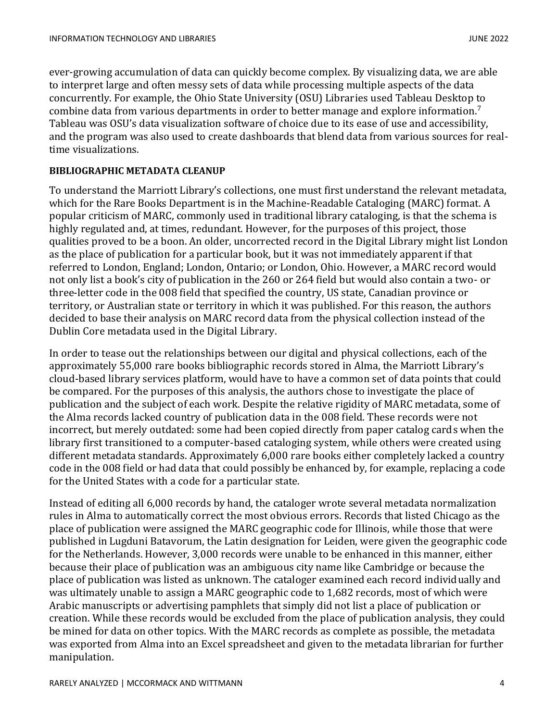ever-growing accumulation of data can quickly become complex. By visualizing data, we are able to interpret large and often messy sets of data while processing multiple aspects of the data concurrently. For example, the Ohio State University (OSU) Libraries used Tableau Desktop to combine data from various departments in order to better manage and explore information.<sup>7</sup> Tableau was OSU's data visualization software of choice due to its ease of use and accessibility, and the program was also used to create dashboards that blend data from various sources for realtime visualizations.

#### **BIBLIOGRAPHIC METADATA CLEANUP**

To understand the Marriott Library's collections, one must first understand the relevant metadata, which for the Rare Books Department is in the Machine-Readable Cataloging (MARC) format. A popular criticism of MARC, commonly used in traditional library cataloging, is that the schema is highly regulated and, at times, redundant. However, for the purposes of this project, those qualities proved to be a boon. An older, uncorrected record in the Digital Library might list London as the place of publication for a particular book, but it was not immediately apparent if that referred to London, England; London, Ontario; or London, Ohio. However, a MARC record would not only list a book's city of publication in the 260 or 264 field but would also contain a two- or three-letter code in the 008 field that specified the country, US state, Canadian province or territory, or Australian state or territory in which it was published. For this reason, the authors decided to base their analysis on MARC record data from the physical collection instead of the Dublin Core metadata used in the Digital Library.

In order to tease out the relationships between our digital and physical collections, each of the approximately 55,000 rare books bibliographic records stored in Alma, the Marriott Library's cloud-based library services platform, would have to have a common set of data points that could be compared. For the purposes of this analysis, the authors chose to investigate the place of publication and the subject of each work. Despite the relative rigidity of MARC metadata, some of the Alma records lacked country of publication data in the 008 field. These records were not incorrect, but merely outdated: some had been copied directly from paper catalog cards when the library first transitioned to a computer-based cataloging system, while others were created using different metadata standards. Approximately 6,000 rare books either completely lacked a country code in the 008 field or had data that could possibly be enhanced by, for example, replacing a code for the United States with a code for a particular state.

Instead of editing all 6,000 records by hand, the cataloger wrote several metadata normalization rules in Alma to automatically correct the most obvious errors. Records that listed Chicago as the place of publication were assigned the MARC geographic code for Illinois, while those that were published in Lugduni Batavorum, the Latin designation for Leiden, were given the geographic code for the Netherlands. However, 3,000 records were unable to be enhanced in this manner, either because their place of publication was an ambiguous city name like Cambridge or because the place of publication was listed as unknown. The cataloger examined each record individually and was ultimately unable to assign a MARC geographic code to 1,682 records, most of which were Arabic manuscripts or advertising pamphlets that simply did not list a place of publication or creation. While these records would be excluded from the place of publication analysis, they could be mined for data on other topics. With the MARC records as complete as possible, the metadata was exported from Alma into an Excel spreadsheet and given to the metadata librarian for further manipulation.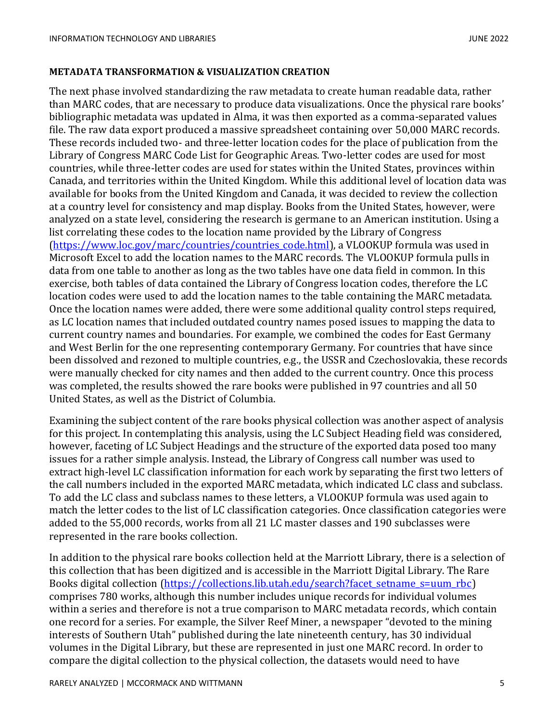#### **METADATA TRANSFORMATION & VISUALIZATION CREATION**

The next phase involved standardizing the raw metadata to create human readable data, rather than MARC codes, that are necessary to produce data visualizations. Once the physical rare books' bibliographic metadata was updated in Alma, it was then exported as a comma-separated values file. The raw data export produced a massive spreadsheet containing over 50,000 MARC records. These records included two- and three-letter location codes for the place of publication from the Library of Congress MARC Code List for Geographic Areas. Two-letter codes are used for most countries, while three-letter codes are used for states within the United States, provinces within Canada, and territories within the United Kingdom. While this additional level of location data was available for books from the United Kingdom and Canada, it was decided to review the collection at a country level for consistency and map display. Books from the United States, however, were analyzed on a state level, considering the research is germane to an American institution. Using a list correlating these codes to the location name provided by the Library of Congress [\(https://www.loc.gov/marc/countries/countries\\_code.html\)](https://www.loc.gov/marc/countries/countries_code.html), a VLOOKUP formula was used in Microsoft Excel to add the location names to the MARC records. The VLOOKUP formula pulls in data from one table to another as long as the two tables have one data field in common. In this exercise, both tables of data contained the Library of Congress location codes, therefore the LC location codes were used to add the location names to the table containing the MARC metadata. Once the location names were added, there were some additional quality control steps required, as LC location names that included outdated country names posed issues to mapping the data to current country names and boundaries. For example, we combined the codes for East Germany and West Berlin for the one representing contemporary Germany. For countries that have since been dissolved and rezoned to multiple countries, e.g., the USSR and Czechoslovakia, these records were manually checked for city names and then added to the current country. Once this process was completed, the results showed the rare books were published in 97 countries and all 50 United States, as well as the District of Columbia.

Examining the subject content of the rare books physical collection was another aspect of analysis for this project. In contemplating this analysis, using the LC Subject Heading field was considered, however, faceting of LC Subject Headings and the structure of the exported data posed too many issues for a rather simple analysis. Instead, the Library of Congress call number was used to extract high-level LC classification information for each work by separating the first two letters of the call numbers included in the exported MARC metadata, which indicated LC class and subclass. To add the LC class and subclass names to these letters, a VLOOKUP formula was used again to match the letter codes to the list of LC classification categories. Once classification categories were added to the 55,000 records, works from all 21 LC master classes and 190 subclasses were represented in the rare books collection.

In addition to the physical rare books collection held at the Marriott Library, there is a selection of this collection that has been digitized and is accessible in the Marriott Digital Library. The Rare Books digital collection [\(https://collections.lib.utah.edu/search?facet\\_setname\\_s=uum\\_rbc\)](https://collections.lib.utah.edu/search?facet_setname_s=uum_rbc) comprises 780 works, although this number includes unique records for individual volumes within a series and therefore is not a true comparison to MARC metadata records, which contain one record for a series. For example, the Silver Reef Miner, a newspaper "devoted to the mining interests of Southern Utah" published during the late nineteenth century, has 30 individual volumes in the Digital Library, but these are represented in just one MARC record. In order to compare the digital collection to the physical collection, the datasets would need to have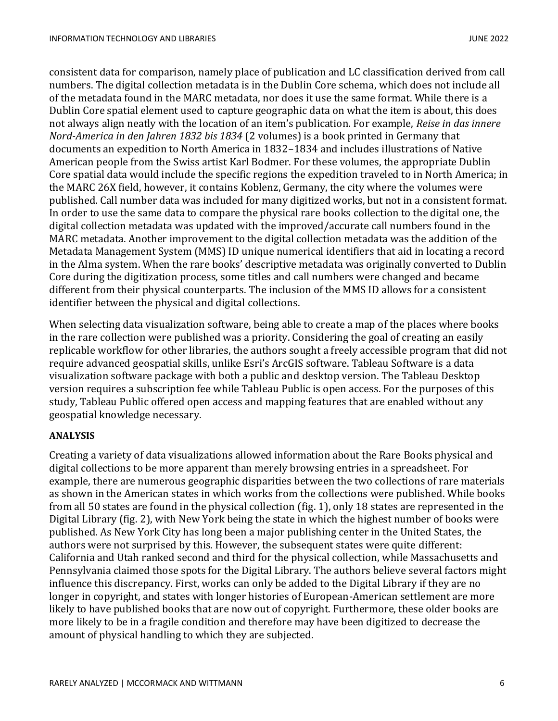consistent data for comparison, namely place of publication and LC classification derived from call numbers. The digital collection metadata is in the Dublin Core schema, which does not include all of the metadata found in the MARC metadata, nor does it use the same format. While there is a Dublin Core spatial element used to capture geographic data on what the item is about, this does not always align neatly with the location of an item's publication. For example, *Reise in das innere Nord-America in den Jahren 1832 bis 1834* (2 volumes) is a book printed in Germany that documents an expedition to North America in 1832–1834 and includes illustrations of Native American people from the Swiss artist Karl Bodmer. For these volumes, the appropriate Dublin Core spatial data would include the specific regions the expedition traveled to in North America; in the MARC 26X field, however, it contains Koblenz, Germany, the city where the volumes were published. Call number data was included for many digitized works, but not in a consistent format. In order to use the same data to compare the physical rare books collection to the digital one, the digital collection metadata was updated with the improved/accurate call numbers found in the MARC metadata. Another improvement to the digital collection metadata was the addition of the Metadata Management System (MMS) ID unique numerical identifiers that aid in locating a record in the Alma system. When the rare books' descriptive metadata was originally converted to Dublin Core during the digitization process, some titles and call numbers were changed and became different from their physical counterparts. The inclusion of the MMS ID allows for a consistent identifier between the physical and digital collections.

When selecting data visualization software, being able to create a map of the places where books in the rare collection were published was a priority. Considering the goal of creating an easily replicable workflow for other libraries, the authors sought a freely accessible program that did not require advanced geospatial skills, unlike Esri's ArcGIS software. Tableau Software is a data visualization software package with both a public and desktop version. The Tableau Desktop version requires a subscription fee while Tableau Public is open access. For the purposes of this study, Tableau Public offered open access and mapping features that are enabled without any geospatial knowledge necessary.

## **ANALYSIS**

Creating a variety of data visualizations allowed information about the Rare Books physical and digital collections to be more apparent than merely browsing entries in a spreadsheet. For example, there are numerous geographic disparities between the two collections of rare materials as shown in the American states in which works from the collections were published. While books from all 50 states are found in the physical collection (fig. 1), only 18 states are represented in the Digital Library (fig. 2), with New York being the state in which the highest number of books were published. As New York City has long been a major publishing center in the United States, the authors were not surprised by this. However, the subsequent states were quite different: California and Utah ranked second and third for the physical collection, while Massachusetts and Pennsylvania claimed those spots for the Digital Library. The authors believe several factors might influence this discrepancy. First, works can only be added to the Digital Library if they are no longer in copyright, and states with longer histories of European-American settlement are more likely to have published books that are now out of copyright. Furthermore, these older books are more likely to be in a fragile condition and therefore may have been digitized to decrease the amount of physical handling to which they are subjected.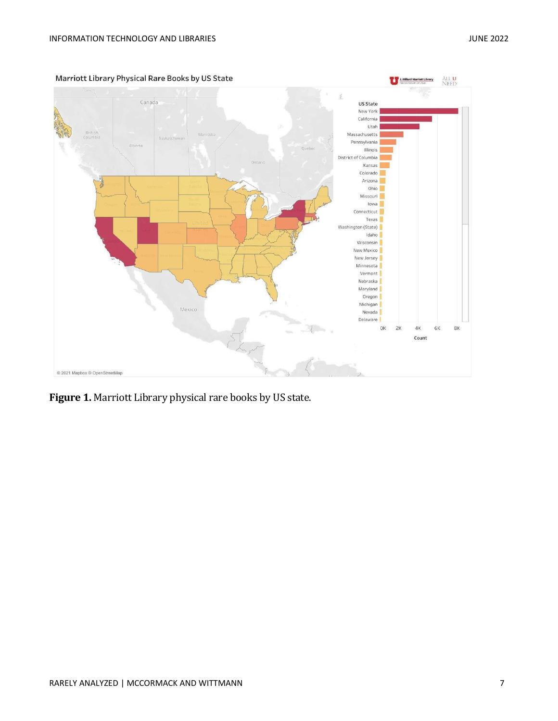

**Figure 1.** Marriott Library physical rare books by US state.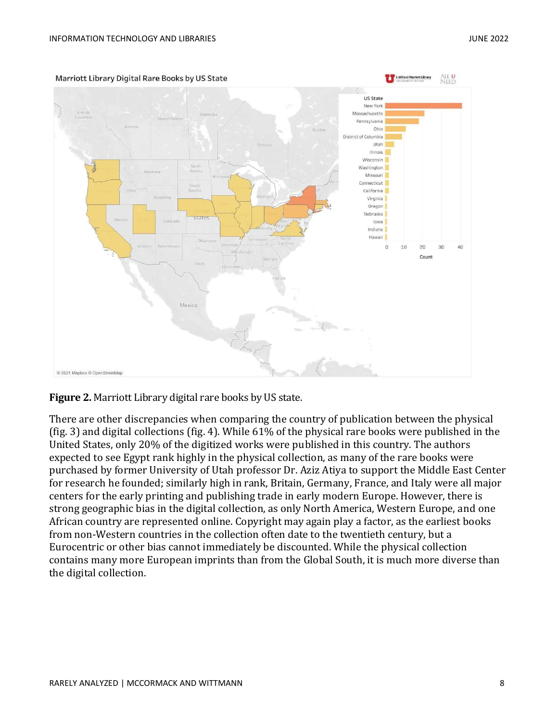

**Figure 2.** Marriott Library digital rare books by US state.

There are other discrepancies when comparing the country of publication between the physical (fig. 3) and digital collections (fig. 4). While 61% of the physical rare books were published in the United States, only 20% of the digitized works were published in this country. The authors expected to see Egypt rank highly in the physical collection, as many of the rare books were purchased by former University of Utah professor Dr. Aziz Atiya to support the Middle East Center for research he founded; similarly high in rank, Britain, Germany, France, and Italy were all major centers for the early printing and publishing trade in early modern Europe. However, there is strong geographic bias in the digital collection, as only North America, Western Europe, and one African country are represented online. Copyright may again play a factor, as the earliest books from non-Western countries in the collection often date to the twentieth century, but a Eurocentric or other bias cannot immediately be discounted. While the physical collection contains many more European imprints than from the Global South, it is much more diverse than the digital collection.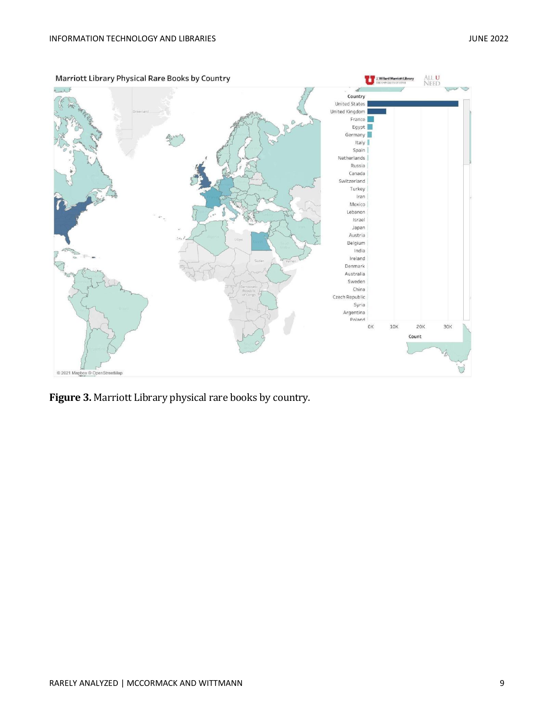

**Figure 3.** Marriott Library physical rare books by country.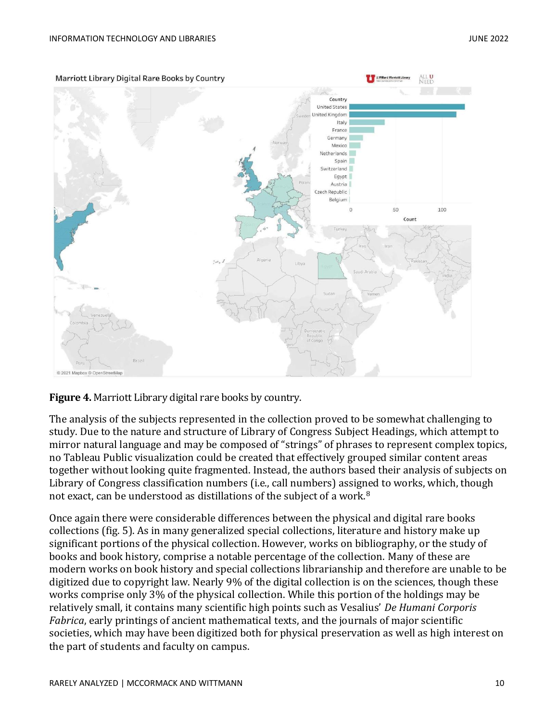

**Figure 4.** Marriott Library digital rare books by country.

The analysis of the subjects represented in the collection proved to be somewhat challenging to study. Due to the nature and structure of Library of Congress Subject Headings, which attempt to mirror natural language and may be composed of "strings" of phrases to represent complex topics, no Tableau Public visualization could be created that effectively grouped similar content areas together without looking quite fragmented. Instead, the authors based their analysis of subjects on Library of Congress classification numbers (i.e., call numbers) assigned to works, which, though not exact, can be understood as distillations of the subject of a work.<sup>8</sup>

Once again there were considerable differences between the physical and digital rare books collections (fig. 5). As in many generalized special collections, literature and history make up significant portions of the physical collection. However, works on bibliography, or the study of books and book history, comprise a notable percentage of the collection. Many of these are modern works on book history and special collections librarianship and therefore are unable to be digitized due to copyright law. Nearly 9% of the digital collection is on the sciences, though these works comprise only 3% of the physical collection. While this portion of the holdings may be relatively small, it contains many scientific high points such as Vesalius' *De Humani Corporis Fabrica*, early printings of ancient mathematical texts, and the journals of major scientific societies, which may have been digitized both for physical preservation as well as high interest on the part of students and faculty on campus.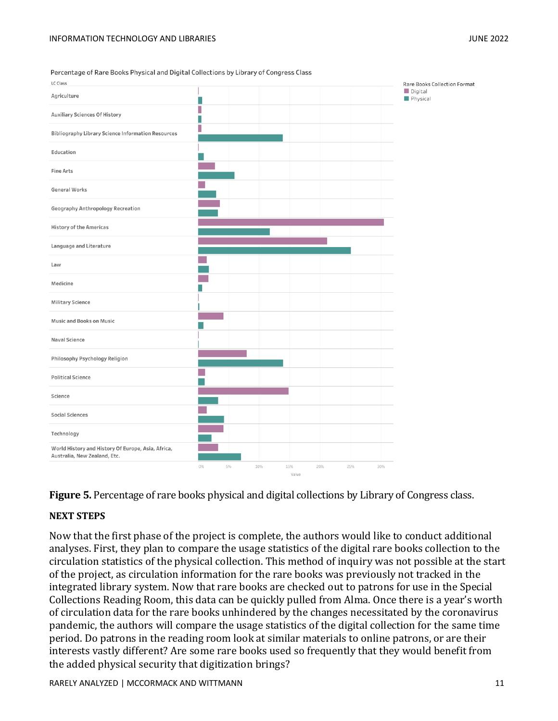

Percentage of Rare Books Physical and Digital Collections by Library of Congress Class



## **NEXT STEPS**

Now that the first phase of the project is complete, the authors would like to conduct additional analyses. First, they plan to compare the usage statistics of the digital rare books collection to the circulation statistics of the physical collection. This method of inquiry was not possible at the start of the project, as circulation information for the rare books was previously not tracked in the integrated library system. Now that rare books are checked out to patrons for use in the Special Collections Reading Room, this data can be quickly pulled from Alma. Once there is a year's worth of circulation data for the rare books unhindered by the changes necessitated by the coronavirus pandemic, the authors will compare the usage statistics of the digital collection for the same time period. Do patrons in the reading room look at similar materials to online patrons, or are their interests vastly different? Are some rare books used so frequently that they would benefit from the added physical security that digitization brings?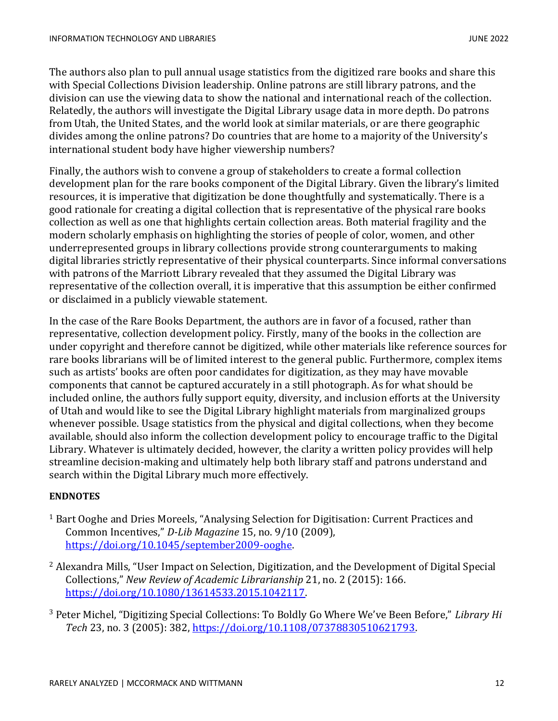The authors also plan to pull annual usage statistics from the digitized rare books and share this with Special Collections Division leadership. Online patrons are still library patrons, and the division can use the viewing data to show the national and international reach of the collection. Relatedly, the authors will investigate the Digital Library usage data in more depth. Do patrons from Utah, the United States, and the world look at similar materials, or are there geographic divides among the online patrons? Do countries that are home to a majority of the University's international student body have higher viewership numbers?

Finally, the authors wish to convene a group of stakeholders to create a formal collection development plan for the rare books component of the Digital Library. Given the library's limited resources, it is imperative that digitization be done thoughtfully and systematically. There is a good rationale for creating a digital collection that is representative of the physical rare books collection as well as one that highlights certain collection areas. Both material fragility and the modern scholarly emphasis on highlighting the stories of people of color, women, and other underrepresented groups in library collections provide strong counterarguments to making digital libraries strictly representative of their physical counterparts. Since informal conversations with patrons of the Marriott Library revealed that they assumed the Digital Library was representative of the collection overall, it is imperative that this assumption be either confirmed or disclaimed in a publicly viewable statement.

In the case of the Rare Books Department, the authors are in favor of a focused, rather than representative, collection development policy. Firstly, many of the books in the collection are under copyright and therefore cannot be digitized, while other materials like reference sources for rare books librarians will be of limited interest to the general public. Furthermore, complex items such as artists' books are often poor candidates for digitization, as they may have movable components that cannot be captured accurately in a still photograph. As for what should be included online, the authors fully support equity, diversity, and inclusion efforts at the University of Utah and would like to see the Digital Library highlight materials from marginalized groups whenever possible. Usage statistics from the physical and digital collections, when they become available, should also inform the collection development policy to encourage traffic to the Digital Library. Whatever is ultimately decided, however, the clarity a written policy provides will help streamline decision-making and ultimately help both library staff and patrons understand and search within the Digital Library much more effectively.

#### **ENDNOTES**

- <sup>1</sup> Bart Ooghe and Dries Moreels, "Analysing Selection for Digitisation: Current Practices and Common Incentives," *D-Lib Magazine* 15, no. 9/10 (2009), [https://doi.org/10.1045/september2009-ooghe.](https://doi.org/10.1045/september2009-ooghe)
- <sup>2</sup> Alexandra Mills, "User Impact on Selection, Digitization, and the Development of Digital Special Collections," *New Review of Academic Librarianship* 21, no. 2 (2015): 166. [https://doi.org/10.1080/13614533.2015.1042117.](https://doi.org/10.1080/13614533.2015.1042117)

<sup>3</sup> Peter Michel, "Digitizing Special Collections: To Boldly Go Where We've Been Before," *Library Hi Tech* 23, no. 3 (2005): 382, [https://doi.org/10.1108/07378830510621793.](https://doi.org/10.1108/07378830510621793)